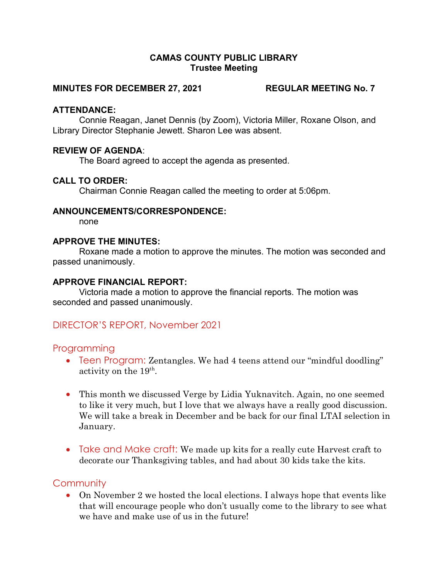#### CAMAS COUNTY PUBLIC LIBRARY Trustee Meeting

#### MINUTES FOR DECEMBER 27, 2021 REGULAR MEETING No. 7

#### ATTENDANCE:

Connie Reagan, Janet Dennis (by Zoom), Victoria Miller, Roxane Olson, and Library Director Stephanie Jewett. Sharon Lee was absent.

#### REVIEW OF AGENDA:

The Board agreed to accept the agenda as presented.

### CALL TO ORDER:

Chairman Connie Reagan called the meeting to order at 5:06pm.

#### ANNOUNCEMENTS/CORRESPONDENCE:

none

#### APPROVE THE MINUTES:

Roxane made a motion to approve the minutes. The motion was seconded and passed unanimously.

#### APPROVE FINANCIAL REPORT:

Victoria made a motion to approve the financial reports. The motion was seconded and passed unanimously.

## DIRECTOR'S REPORT, November 2021

#### **Programming**

- Teen Program: Zentangles. We had 4 teens attend our "mindful doodling" activity on the  $19<sup>th</sup>$ .
- This month we discussed Verge by Lidia Yuknavitch. Again, no one seemed to like it very much, but I love that we always have a really good discussion. We will take a break in December and be back for our final LTAI selection in January.
- Take and Make craft: We made up kits for a really cute Harvest craft to decorate our Thanksgiving tables, and had about 30 kids take the kits.

## **Community**

 On November 2 we hosted the local elections. I always hope that events like that will encourage people who don't usually come to the library to see what we have and make use of us in the future!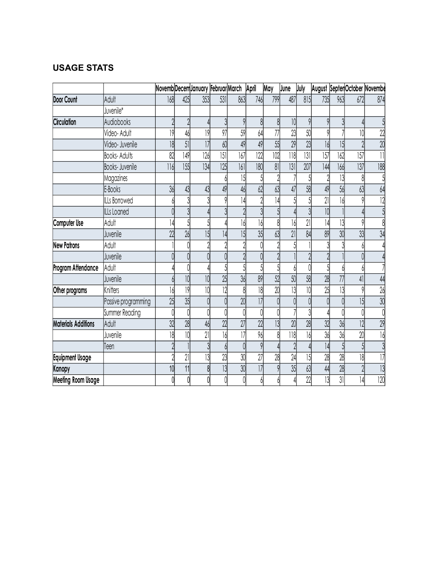# USAGE STATS

| <b>USAGE STATS</b>                  |                              |                                          |            |                  |                 |                 |              |                      |                     |           |            |                 |                               |                                    |
|-------------------------------------|------------------------------|------------------------------------------|------------|------------------|-----------------|-----------------|--------------|----------------------|---------------------|-----------|------------|-----------------|-------------------------------|------------------------------------|
|                                     |                              |                                          |            |                  |                 |                 |              |                      |                     |           |            |                 |                               |                                    |
|                                     |                              | Novemb Decem January Februar March April |            |                  |                 |                 |              | May                  | June                | July      |            |                 | August Septer October Novembe |                                    |
| Door Count                          | Adult                        | 168                                      | 425        | 353              | 531             | 863             | 746          | 799                  | 487                 | 815       | 735        | 963             | 672                           | 874                                |
|                                     | Juvenile*                    |                                          |            |                  |                 |                 |              |                      |                     |           |            |                 |                               |                                    |
| Circulation                         | Audiobooks                   |                                          |            |                  |                 | Q               |              | 8                    | 10                  | $\circ$   | $\Omega$   |                 |                               |                                    |
|                                     | Video-Adult                  | 19                                       | 46         | 9                | 97              | 59              | 64           | 77                   | 23                  | 50        |            |                 | 10                            | 22                                 |
|                                     | Video- Juvenile              | 18                                       | 51         | 7                | 60              | 49              | 49           | 55                   | $\overline{29}$     | 23        | 16         | 15              |                               | $\overline{20}$<br>$\overline{11}$ |
|                                     | <b>Books-Adults</b>          | 82<br>116                                | 149<br>155 | 126<br> 34       | 5 <br> 25       | 167<br>161      | 122          | 102                  | $\frac{1}{8}$<br> 3 | 3 <br>207 | 157<br>144 | 162             | 157<br>137                    | 188                                |
|                                     | Books- Juvenile<br>Magazines |                                          |            |                  |                 | 15              | 180<br>К     | 81<br>$\overline{2}$ |                     |           |            | 166<br>13       | 8                             |                                    |
|                                     | E-Books                      | 36                                       | 43         | 43               | 49              | 46              | 62           | 63                   | 47                  | 58        | 49         | 56              | 63                            | 64                                 |
|                                     | ILLs Borrowed                |                                          |            |                  |                 | 14              |              | 14                   |                     |           | 21         | 16              | 0                             |                                    |
|                                     | ILLs Loaned                  |                                          |            |                  |                 |                 |              | 5                    |                     |           | 10         |                 |                               |                                    |
| Computer Use                        | Adult                        | 14                                       |            |                  |                 | 16              | 16           | 8                    | 16                  | 21        | 14         | 13              |                               |                                    |
|                                     | Juvenile                     | $\gamma$                                 | 26         | 15               | 4               | $\overline{15}$ | 35           | 63                   | 21                  | 84        | 89         | 30 <sup>1</sup> | 33<br>$\mathsf{v}\mathsf{v}$  | $\lambda$<br>◡                     |
| <b>New Patrons</b>                  | Adult                        |                                          |            |                  |                 | 2               |              | $\gamma$             |                     |           |            | $\mathcal{L}$   |                               |                                    |
|                                     | Juvenile                     |                                          |            |                  |                 |                 |              |                      |                     |           |            |                 |                               |                                    |
| Program Attendance                  | Adult                        |                                          |            |                  |                 |                 |              |                      |                     |           |            |                 |                               |                                    |
|                                     | Juvenile                     |                                          | 10         | 10               | 25              | 36              | 89           | 52                   | 50                  | 58        | 28         | 77              | 4                             | 44                                 |
| Other programs                      | Knitters                     |                                          | 9          |                  | 2               | 8               | 18           | 20                   | I.                  | 10        | 25         | $\overline{3}$  |                               | 26                                 |
|                                     | Passive programming          | 25                                       | 35         |                  |                 | 20              | 7            |                      |                     |           |            |                 | 15                            | 30                                 |
|                                     | Summer Reading               |                                          |            |                  |                 |                 |              |                      |                     |           |            |                 |                               |                                    |
| <b>Materials Additions</b>          | Adult                        | 32                                       | 28         | 46               | 22              | 27              | 22           | 3                    | $\overline{20}$     | 28        | 32         | 36              | 2                             | 29                                 |
|                                     | Juvenile                     | 18                                       |            | 21               | 16              | 17              | 96           | 8                    | 118                 |           | 36         | 36              | $\overline{20}$               | 16 <sup>1</sup>                    |
|                                     | Teen                         |                                          |            |                  |                 | $\cap$          | $\mathsf{Q}$ |                      |                     |           | 4          |                 |                               |                                    |
| <b>Equipment Usage</b>              |                              |                                          | 21         | $\overline{13}$  | 23              | 30              | 27           | 28<br>9              | 24                  | 15        | 28         | 28              | 18                            |                                    |
|                                     |                              | 10                                       | 11         | 8<br>$\bigwedge$ | $\overline{13}$ | 30<br>$\Lambda$ | 1            |                      | 35                  | 63<br>22  | 44<br>13   | 28<br>31        | 4                             | 13<br>120                          |
| Kanopy<br><b>Meeting Room Usage</b> |                              |                                          |            |                  |                 |                 |              |                      |                     |           |            |                 |                               |                                    |